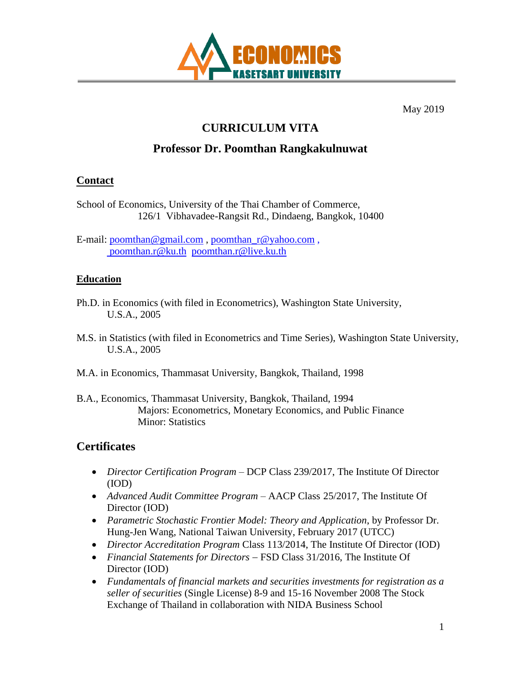

May 2019

# **CURRICULUM VITA**

# **Professor Dr. Poomthan Rangkakulnuwat**

#### **Contact**

School of Economics, University of the Thai Chamber of Commerce, 126/1 Vibhavadee-Rangsit Rd., Dindaeng, Bangkok, 10400

E-mail: [poomthan@gmail.com](mailto:poomthan@gmail.com) , [poomthan\\_r@yahoo.com](mailto:poomthan_r@yahoo.com) , [poomthan.r@ku.th](mailto:%20poomthan.r@ku.th) [poomthan.r@live.ku.th](mailto:poomthan.r@live.ku.th)

#### **Education**

- Ph.D. in Economics (with filed in Econometrics), Washington State University, U.S.A., 2005
- M.S. in Statistics (with filed in Econometrics and Time Series), Washington State University, U.S.A., 2005
- M.A. in Economics, Thammasat University, Bangkok, Thailand, 1998
- B.A., Economics, Thammasat University, Bangkok, Thailand, 1994 Majors: Econometrics, Monetary Economics, and Public Finance Minor: Statistics

# **Certificates**

- *Director Certification Program* DCP Class 239/2017, The Institute Of Director (IOD)
- *Advanced Audit Committee Program* AACP Class 25/2017, The Institute Of Director (IOD)
- *Parametric Stochastic Frontier Model: Theory and Application*, by Professor Dr. Hung-Jen Wang, National Taiwan University, February 2017 (UTCC)
- *Director Accreditation Program* Class 113/2014, The Institute Of Director (IOD)
- *Financial Statements for Directors* − FSD Class 31/2016, The Institute Of Director (IOD)
- *Fundamentals of financial markets and securities investments for registration as a seller of securities* (Single License) 8-9 and 15-16 November 2008 The Stock Exchange of Thailand in collaboration with NIDA Business School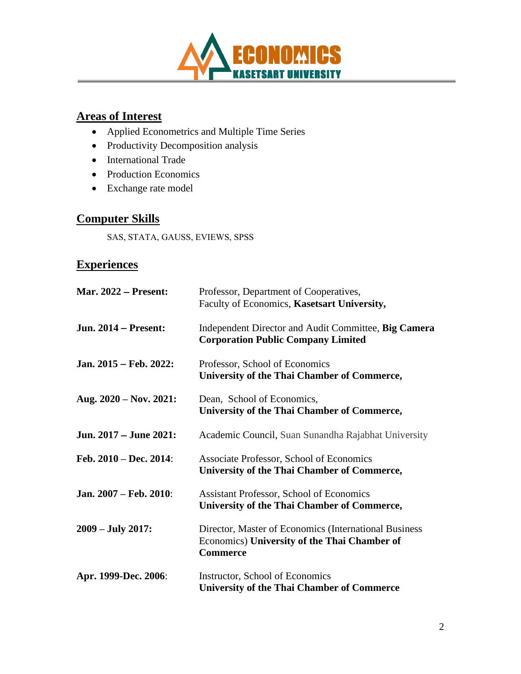

### **Areas of Interest**

- Applied Econometrics and Multiple Time Series
- Productivity Decomposition analysis
- International Trade
- Production Economics
- Exchange rate model

#### **Computer Skills**

SAS, STATA, GAUSS, EVIEWS, SPSS

# **Experiences**

| <b>Mar. 2022 – Present:</b> | Professor, Department of Cooperatives,<br>Faculty of Economics, Kasetsart University,                                    |
|-----------------------------|--------------------------------------------------------------------------------------------------------------------------|
| <b>Jun. 2014 – Present:</b> | Independent Director and Audit Committee, Big Camera<br><b>Corporation Public Company Limited</b>                        |
| Jan. 2015 – Feb. 2022:      | Professor, School of Economics<br>University of the Thai Chamber of Commerce,                                            |
| Aug. $2020 - Nov. 2021$ :   | Dean, School of Economics,<br>University of the Thai Chamber of Commerce,                                                |
| Jun. 2017 – June 2021:      | Academic Council, Suan Sunandha Rajabhat University                                                                      |
| Feb. $2010 - Dec. 2014$ :   | Associate Professor, School of Economics<br>University of the Thai Chamber of Commerce,                                  |
| Jan. 2007 – Feb. 2010:      | <b>Assistant Professor, School of Economics</b><br>University of the Thai Chamber of Commerce,                           |
| $2009 - July 2017$ :        | Director, Master of Economics (International Business<br>Economics) University of the Thai Chamber of<br><b>Commerce</b> |
| Apr. 1999-Dec. 2006:        | Instructor, School of Economics<br><b>University of the Thai Chamber of Commerce</b>                                     |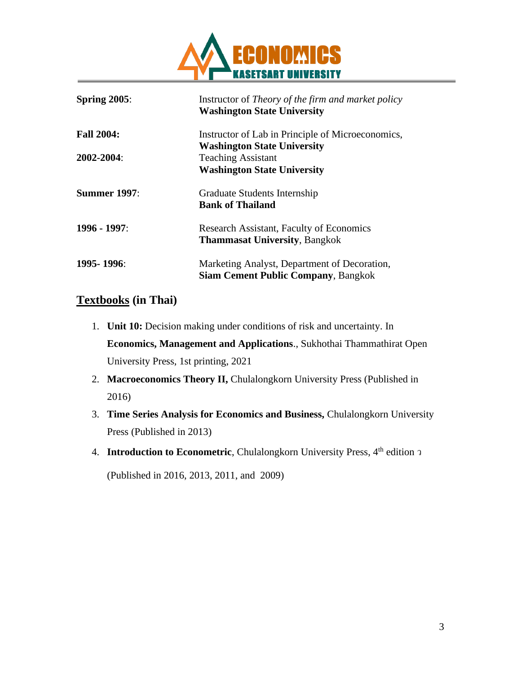

| Spring $2005$ :     | Instructor of <i>Theory of the firm and market policy</i><br><b>Washington State University</b> |
|---------------------|-------------------------------------------------------------------------------------------------|
| <b>Fall 2004:</b>   | Instructor of Lab in Principle of Microeconomics,                                               |
|                     | <b>Washington State University</b>                                                              |
| 2002-2004:          | <b>Teaching Assistant</b>                                                                       |
|                     | <b>Washington State University</b>                                                              |
| <b>Summer 1997:</b> | Graduate Students Internship<br><b>Bank of Thailand</b>                                         |
| 1996 - 1997:        | <b>Research Assistant, Faculty of Economics</b><br><b>Thammasat University, Bangkok</b>         |
| $1995 - 1996$       | Marketing Analyst, Department of Decoration,<br><b>Siam Cement Public Company, Bangkok</b>      |

#### **Textbooks (in Thai)**

- 1. **Unit 10:** Decision making under conditions of risk and uncertainty. In **Economics, Management and Applications**., Sukhothai Thammathirat Open University Press, 1st printing, 2021
- 2. **Macroeconomics Theory II, Chulalongkorn University Press (Published in** 2016)
- 3. **Time Series Analysis for Economics and Business,** Chulalongkorn University Press (Published in 2013)
- 4. **Introduction to Econometric**, Chulalongkorn University Press, 4<sup>th</sup> edition  $\sigma$ (Published in 2016, 2013, 2011, and 2009)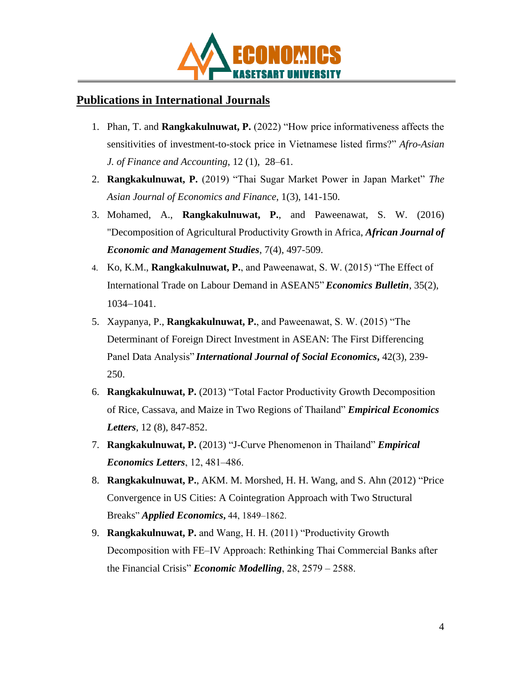

# **Publications in International Journals**

- 1. Phan, T. and **Rangkakulnuwat, P.** (2022) "How price informativeness affects the sensitivities of investment-to-stock price in Vietnamese listed firms?" *Afro-Asian J. of Finance and Accounting*, 12 (1), 28–61.
- 2. **Rangkakulnuwat, P.** (2019) "Thai Sugar Market Power in Japan Market" *The Asian Journal of Economics and Finance*, 1(3), 141-150.
- 3. Mohamed, A., **Rangkakulnuwat, P.**, and Paweenawat, S. W. (2016) "Decomposition of Agricultural Productivity Growth in Africa, *African Journal of Economic and Management Studies*, 7(4), 497-509.
- 4. Ko, K.M., **Rangkakulnuwat, P.**, and Paweenawat, S. W. (2015) "The Effect of International Trade on Labour Demand in ASEAN5"*Economics Bulletin*, 35(2), 1034−1041.
- 5. Xaypanya, P., **Rangkakulnuwat, P.**, and Paweenawat, S. W. (2015) "The Determinant of Foreign Direct Investment in ASEAN: The First Differencing Panel Data Analysis" *International Journal of Social Economics***,** 42(3), 239- 250.
- 6. **Rangkakulnuwat, P.** (2013) "Total Factor Productivity Growth Decomposition of Rice, Cassava, and Maize in Two Regions of Thailand" *Empirical Economics Letters*, 12 (8), 847-852.
- 7. **Rangkakulnuwat, P.** (2013) "J-Curve Phenomenon in Thailand" *Empirical Economics Letters*, 12, 481–486.
- 8. **Rangkakulnuwat, P.**, AKM. M. Morshed, H. H. Wang, and S. Ahn (2012) "Price Convergence in US Cities: A Cointegration Approach with Two Structural Breaks" *Applied Economics***,** 44, 1849‒1862.
- 9. **Rangkakulnuwat, P.** and Wang, H. H. (2011) "Productivity Growth Decomposition with FE‒IV Approach: Rethinking Thai Commercial Banks after the Financial Crisis" *Economic Modelling*, 28, 2579 ‒ 2588.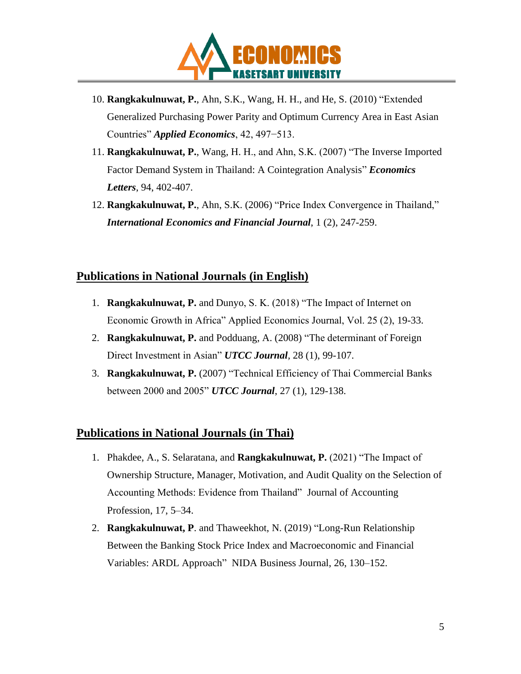

- 10. **Rangkakulnuwat, P.**, Ahn, S.K., Wang, H. H., and He, S. (2010) "Extended Generalized Purchasing Power Parity and Optimum Currency Area in East Asian Countries" *Applied Economics*, 42, 497−513.
- 11. **Rangkakulnuwat, P.**, Wang, H. H., and Ahn, S.K. (2007) "The Inverse Imported Factor Demand System in Thailand: A Cointegration Analysis" *Economics Letters*, 94, 402-407.
- 12. **Rangkakulnuwat, P.**, Ahn, S.K. (2006) "Price Index Convergence in Thailand," *International Economics and Financial Journal*, 1 (2), 247-259.

#### **Publications in National Journals (in English)**

- 1. **Rangkakulnuwat, P.** and Dunyo, S. K. (2018) "The Impact of Internet on Economic Growth in Africa" Applied Economics Journal, Vol. 25 (2), 19-33.
- 2. **Rangkakulnuwat, P.** and Podduang, A. (2008) "The determinant of Foreign Direct Investment in Asian" *UTCC Journal,* 28 (1), 99-107.
- 3. **Rangkakulnuwat, P.** (2007) "Technical Efficiency of Thai Commercial Banks between 2000 and 2005" *UTCC Journal*, 27 (1), 129-138.

#### **Publications in National Journals (in Thai)**

- 1. Phakdee, A., S. Selaratana, and **Rangkakulnuwat, P.** (2021) "The Impact of Ownership Structure, Manager, Motivation, and Audit Quality on the Selection of Accounting Methods: Evidence from Thailand" Journal of Accounting Profession, 17, 5–34.
- 2. **Rangkakulnuwat, P**. and Thaweekhot, N. (2019) "Long-Run Relationship Between the Banking Stock Price Index and Macroeconomic and Financial Variables: ARDL Approach" NIDA Business Journal, 26, 130–152.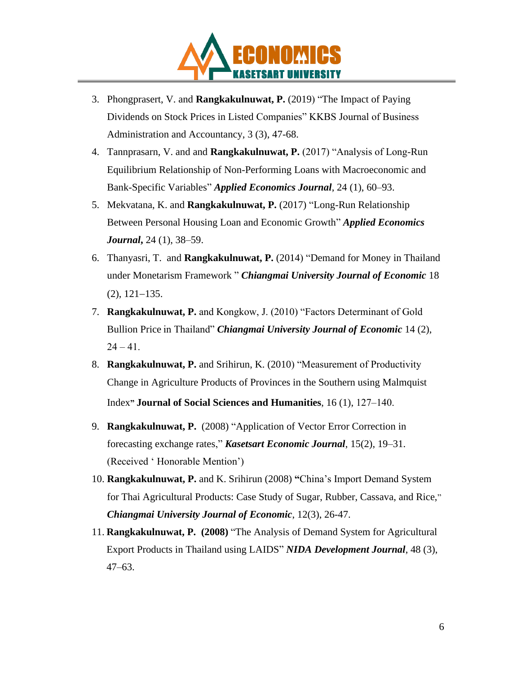

- 3. Phongprasert, V. and **Rangkakulnuwat, P.** (2019) "The Impact of Paying Dividends on Stock Prices in Listed Companies" KKBS Journal of Business Administration and Accountancy, 3 (3), 47-68.
- 4. Tannprasarn, V. and and **Rangkakulnuwat, P.** (2017) "Analysis of Long-Run Equilibrium Relationship of Non-Performing Loans with Macroeconomic and Bank-Specific Variables" *Applied Economics Journal*, 24 (1), 60–93.
- 5. Mekvatana, K. and **Rangkakulnuwat, P.** (2017) "Long-Run Relationship Between Personal Housing Loan and Economic Growth" *Applied Economics Journal***,** 24 (1), 38–59.
- 6. Thanyasri, T. and **Rangkakulnuwat, P.** (2014) "Demand for Money in Thailand under Monetarism Framework " *Chiangmai University Journal of Economic* 18 (2), 121−135.
- 7. **Rangkakulnuwat, P.** and Kongkow, J. (2010) "Factors Determinant of Gold Bullion Price in Thailand" *Chiangmai University Journal of Economic* 14 (2),  $24 - 41.$
- 8. **Rangkakulnuwat, P.** and Srihirun, K. (2010) "Measurement of Productivity Change in Agriculture Products of Provinces in the Southern using Malmquist Index**" Journal of Social Sciences and Humanities**, 16 (1), 127‒140.
- 9. **Rangkakulnuwat, P.** (2008) "Application of Vector Error Correction in forecasting exchange rates," *Kasetsart Economic Journal*, 15(2), 19–31. (Received ' Honorable Mention')
- 10. **Rangkakulnuwat, P.** and K. Srihirun (2008) **"**China's Import Demand System for Thai Agricultural Products: Case Study of Sugar, Rubber, Cassava, and Rice," *Chiangmai University Journal of Economic*, 12(3), 26-47.
- 11. **Rangkakulnuwat, P. (2008)** "The Analysis of Demand System for Agricultural Export Products in Thailand using LAIDS" *NIDA Development Journal*, 48 (3), 47–63.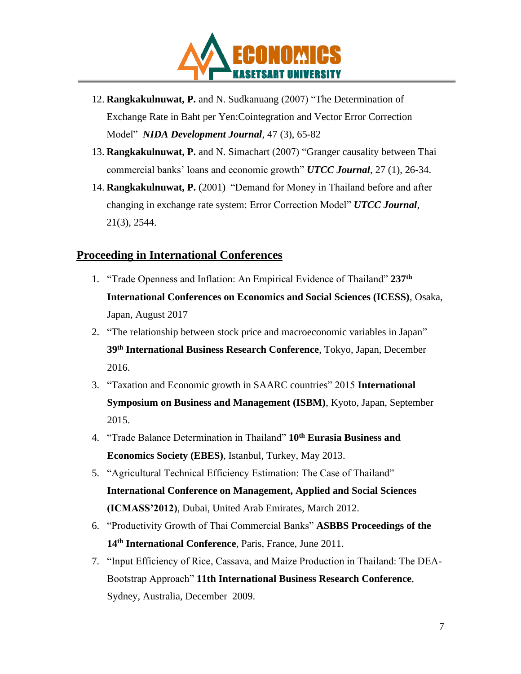

- 12. **Rangkakulnuwat, P.** and N. Sudkanuang (2007) "The Determination of Exchange Rate in Baht per Yen:Cointegration and Vector Error Correction Model" *NIDA Development Journal*, 47 (3), 65-82
- 13. **Rangkakulnuwat, P.** and N. Simachart (2007) "Granger causality between Thai commercial banks' loans and economic growth" *UTCC Journal*, 27 (1), 26-34.
- 14. **Rangkakulnuwat, P.** (2001) "Demand for Money in Thailand before and after changing in exchange rate system: Error Correction Model" *UTCC Journal*, 21(3), 2544.

#### **Proceeding in International Conferences**

- 1. "Trade Openness and Inflation: An Empirical Evidence of Thailand" **237th International Conferences on Economics and Social Sciences (ICESS)**, Osaka, Japan, August 2017
- 2. "The relationship between stock price and macroeconomic variables in Japan" **39th International Business Research Conference**, Tokyo, Japan, December 2016.
- 3. "Taxation and Economic growth in SAARC countries" 2015 **International Symposium on Business and Management (ISBM)**, Kyoto, Japan, September 2015.
- 4. "Trade Balance Determination in Thailand" **10th Eurasia Business and Economics Society (EBES)**, Istanbul, Turkey, May 2013.
- 5. "Agricultural Technical Efficiency Estimation: The Case of Thailand" **International Conference on Management, Applied and Social Sciences (ICMASS'2012)**, Dubai, United Arab Emirates, March 2012.
- 6. "Productivity Growth of Thai Commercial Banks" **ASBBS Proceedings of the 14th International Conference**, Paris, France, June 2011.
- 7. "Input Efficiency of Rice, Cassava, and Maize Production in Thailand: The DEA-Bootstrap Approach" **11th International Business Research Conference**, Sydney, Australia, December 2009.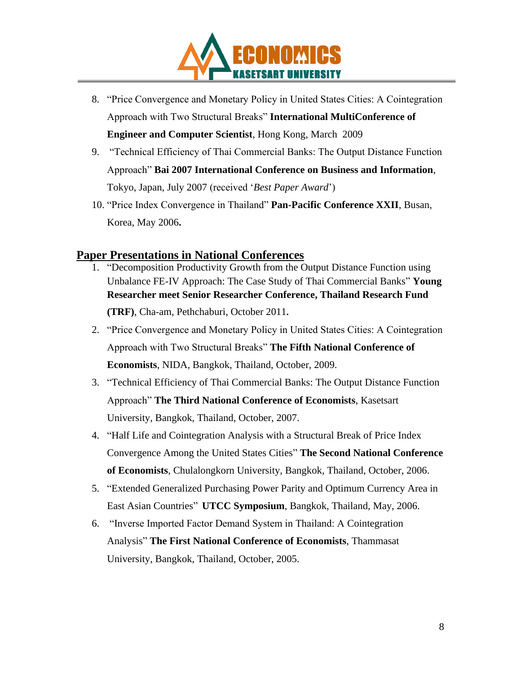

- 8. "Price Convergence and Monetary Policy in United States Cities: A Cointegration Approach with Two Structural Breaks" **International MultiConference of Engineer and Computer Scientist**, Hong Kong, March 2009
- 9. "Technical Efficiency of Thai Commercial Banks: The Output Distance Function Approach" **Bai 2007 International Conference on Business and Information**, Tokyo, Japan, July 2007 (received '*Best Paper Award*')
- 10. "Price Index Convergence in Thailand" **Pan-Pacific Conference XXII**, Busan, Korea, May 2006**.**

#### **Paper Presentations in National Conferences**

- 1. "Decomposition Productivity Growth from the Output Distance Function using Unbalance FE-IV Approach: The Case Study of Thai Commercial Banks" **Young Researcher meet Senior Researcher Conference, Thailand Research Fund (TRF)**, Cha-am, Pethchaburi, October 2011**.**
- 2. "Price Convergence and Monetary Policy in United States Cities: A Cointegration Approach with Two Structural Breaks" **The Fifth National Conference of Economists**, NIDA, Bangkok, Thailand, October, 2009.
- 3. "Technical Efficiency of Thai Commercial Banks: The Output Distance Function Approach" **The Third National Conference of Economists**, Kasetsart University, Bangkok, Thailand, October, 2007.
- 4. "Half Life and Cointegration Analysis with a Structural Break of Price Index Convergence Among the United States Cities" **The Second National Conference of Economists**, Chulalongkorn University, Bangkok, Thailand, October, 2006.
- 5. "Extended Generalized Purchasing Power Parity and Optimum Currency Area in East Asian Countries" **UTCC Symposium**, Bangkok, Thailand, May, 2006.
- 6. "Inverse Imported Factor Demand System in Thailand: A Cointegration Analysis" **The First National Conference of Economists**, Thammasat University, Bangkok, Thailand, October, 2005.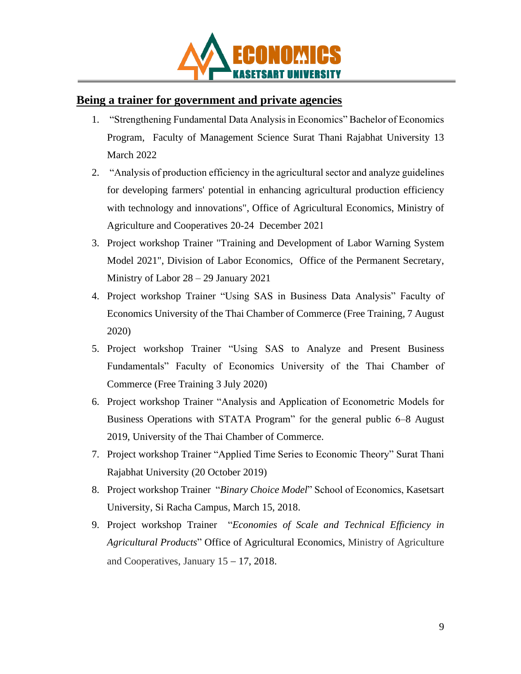

## **Being a trainer for government and private agencies**

- 1. "Strengthening Fundamental Data Analysis in Economics" Bachelor of Economics Program, Faculty of Management Science Surat Thani Rajabhat University 13 March 2022
- 2. "Analysis of production efficiency in the agricultural sector and analyze guidelines for developing farmers' potential in enhancing agricultural production efficiency with technology and innovations", Office of Agricultural Economics, Ministry of Agriculture and Cooperatives 20-24 December 2021
- 3. Project workshop Trainer "Training and Development of Labor Warning System Model 2021", Division of Labor Economics, Office of the Permanent Secretary, Ministry of Labor 28 – 29 January 2021
- 4. Project workshop Trainer "Using SAS in Business Data Analysis" Faculty of Economics University of the Thai Chamber of Commerce (Free Training, 7 August 2020)
- 5. Project workshop Trainer "Using SAS to Analyze and Present Business Fundamentals" Faculty of Economics University of the Thai Chamber of Commerce (Free Training 3 July 2020)
- 6. Project workshop Trainer "Analysis and Application of Econometric Models for Business Operations with STATA Program" for the general public 6–8 August 2019, University of the Thai Chamber of Commerce.
- 7. Project workshop Trainer "Applied Time Series to Economic Theory" Surat Thani Rajabhat University (20 October 2019)
- 8. Project workshop Trainer "*Binary Choice Model*" School of Economics, Kasetsart University, Si Racha Campus, March 15, 2018.
- 9. Project workshop Trainer "*Economies of Scale and Technical Efficiency in Agricultural Products*" Office of Agricultural Economics, Ministry of Agriculture and Cooperatives, January 15 − 17, 2018.